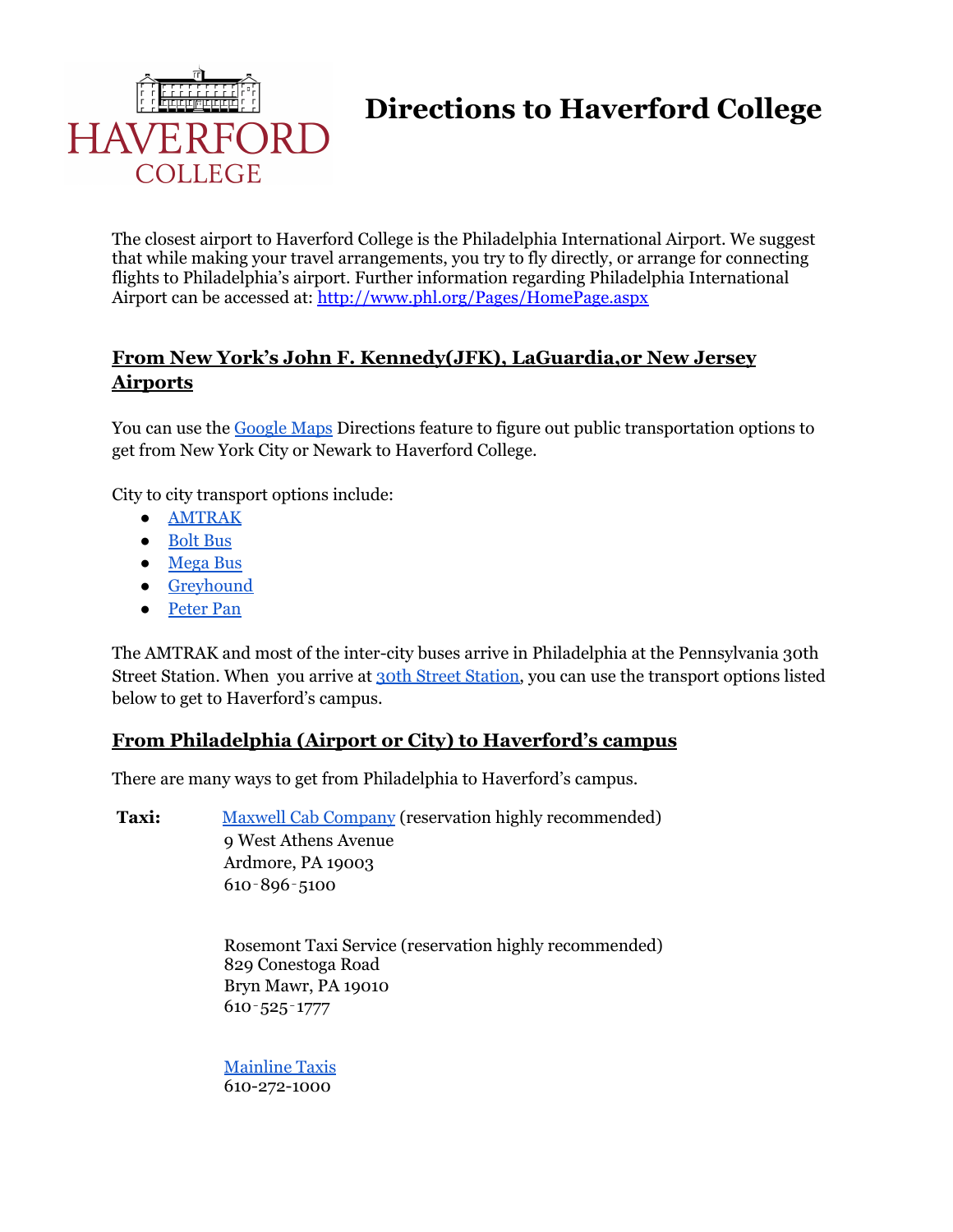

**Directions to Haverford College**

The closest airport to Haverford College is the Philadelphia International Airport. We suggest that while making your travel arrangements, you try to fly directly, or arrange for connecting flights to Philadelphia's airport. Further information regarding Philadelphia International Airport can be accessed at: <http://www.phl.org/Pages/HomePage.aspx>

## **From New York's John F. Kennedy(JFK), LaGuardia,or New Jersey Airports**

You can use the [Google](https://www.google.com/maps) Maps Directions feature to figure out public transportation options to get from New York City or Newark to Haverford College.

City to city transport options include:

- [AMTRAK](https://www.amtrak.com/home)
- [Bolt](https://www.boltbus.com/) Bus
- [Mega](https://us.megabus.com/route-guides/new-york-to-philadelphia-bus) Bus
- [Greyhound](https://www.greyhound.com/en)
- [Peter](https://peterpanbus.com/routes/new-york-city-to-philadelphia-bus/) Pan

The AMTRAK and most of the inter-city buses arrive in Philadelphia at the Pennsylvania 30th Street Station. When you arrive at 30th Street [Station,](https://www.amtrak.com/stations/phl) you can use the transport options listed below to get to Haverford's campus.

## **From Philadelphia (Airport or City) to Haverford's campus**

There are many ways to get from Philadelphia to Haverford's campus.

Taxi: Maxwell Cab [Company](https://maxwelltaxi.com/) (reservation highly recommended) 9 West Athens Avenue Ardmore, PA 19003 610‐896‐5100

> Rosemont Taxi Service (reservation highly recommended) 829 Conestoga Road Bryn Mawr, PA 19010 610‐525‐1777

[Mainline](http://www.mainlinetaxi.com/) Taxis 610-272-1000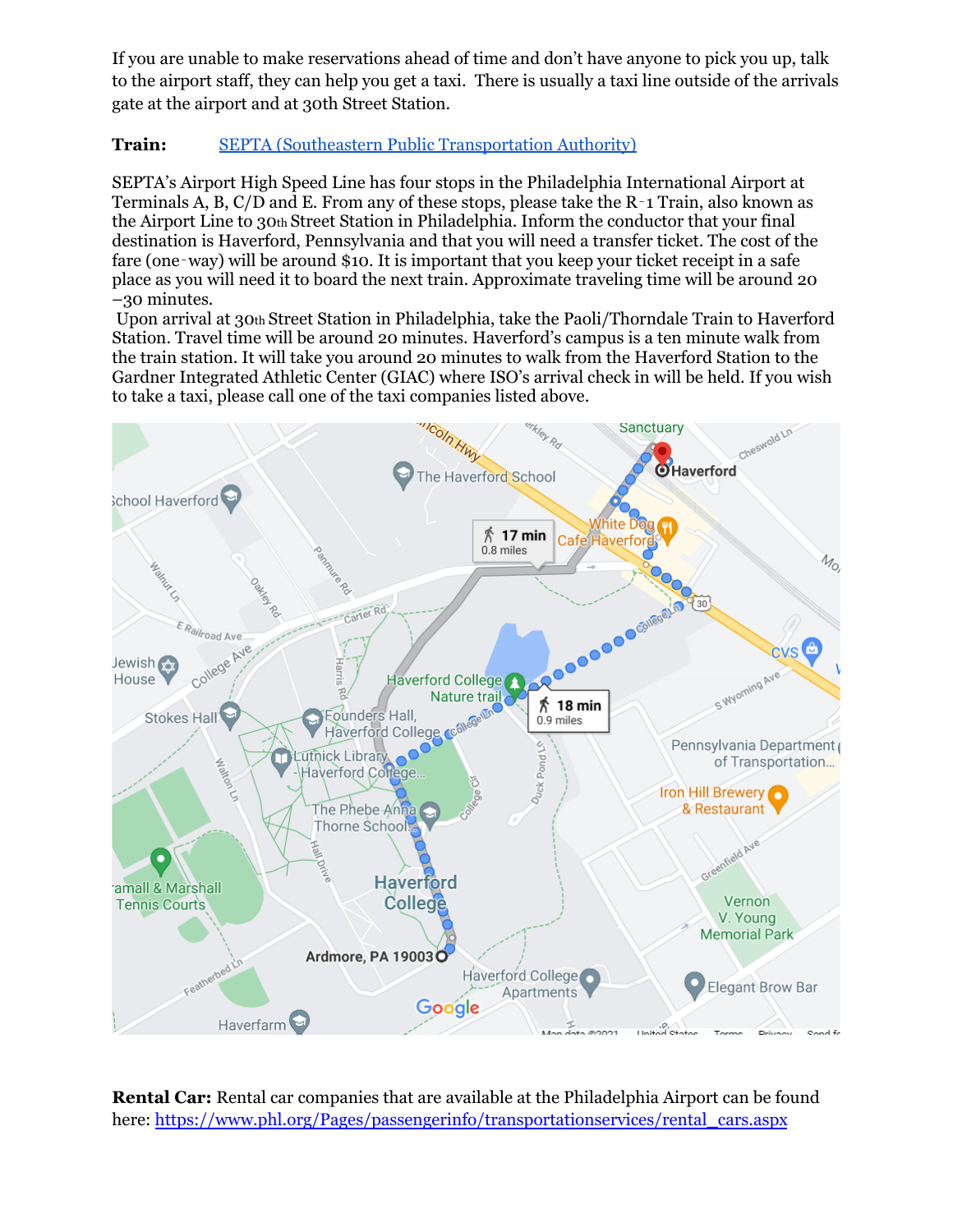If you are unable to make reservations ahead of time and don't have anyone to pick you up, talk to the airport staff, they can help you get a taxi. There is usually a taxi line outside of the arrivals gate at the airport and at 30th Street Station.

## **Train:** SEPTA (Southeastern Public [Transportation](http://www.septa.org/) Authority)

SEPTA's Airport High Speed Line has four stops in the Philadelphia International Airport at Terminals A, B, C/D and E. From any of these stops, please take the R‐1 Train, also known as the Airport Line to 30th Street Station in Philadelphia. Inform the conductor that your final destination is Haverford, Pennsylvania and that you will need a transfer ticket. The cost of the fare (one-way) will be around \$10. It is important that you keep your ticket receipt in a safe place as you will need it to board the next train. Approximate traveling time will be around 20 –30 minutes.

Upon arrival at 30th Street Station in Philadelphia, take the Paoli/Thorndale Train to Haverford Station. Travel time will be around 20 minutes. Haverford's campus is a ten minute walk from the train station. It will take you around 20 minutes to walk from the Haverford Station to the Gardner Integrated Athletic Center (GIAC) where ISO's arrival check in will be held. If you wish to take a taxi, please call one of the taxi companies listed above.



**Rental Car:** Rental car companies that are available at the Philadelphia Airport can be found here: [https://www.phl.org/Pages/passengerinfo/transportationservices/rental\\_cars.aspx](https://www.phl.org/Pages/passengerinfo/transportationservices/rental_cars.aspx)